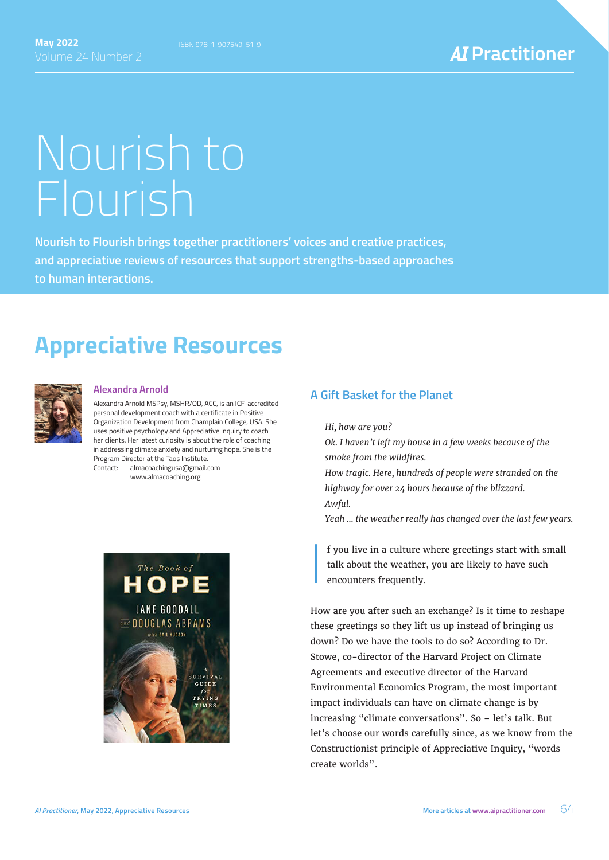# Nourish to Flourish

**Nourish to Flourish brings together practitioners' voices and creative practices, and appreciative reviews of resources that support strengths-based approaches to human interactions.**

## **Appreciative Resources**



#### **Alexandra Arnold**

Alexandra Arnold MSPsy, MSHR/OD, ACC, is an ICF-accredited personal development coach with a certificate in Positive Organization Development from Champlain College, USA. She uses positive psychology and Appreciative Inquiry to coach her clients. Her latest curiosity is about the role of coaching in addressing climate anxiety and nurturing hope. She is the Program Director at the Taos Institute. Contact: almacoachingusa@gmail.com

www.almacoaching.org



#### **A Gift Basket for the Planet**

*Hi, how are you?*

I

*Ok. I haven't left my house in a few weeks because of the smoke from the wildfires.*

*How tragic. Here, hundreds of people were stranded on the highway for over 24 hours because of the blizzard. Awful.*

*Yeah … the weather really has changed over the last few years.*

f you live in a culture where greetings start with small talk about the weather, you are likely to have such encounters frequently.

How are you after such an exchange? Is it time to reshape these greetings so they lift us up instead of bringing us down? Do we have the tools to do so? According to Dr. Stowe, co-director of the Harvard Project on Climate Agreements and executive director of the Harvard Environmental Economics Program, the most important impact individuals can have on climate change is by increasing "climate conversations". So – let's talk. But let's choose our words carefully since, as we know from the Constructionist principle of Appreciative Inquiry, "words create worlds".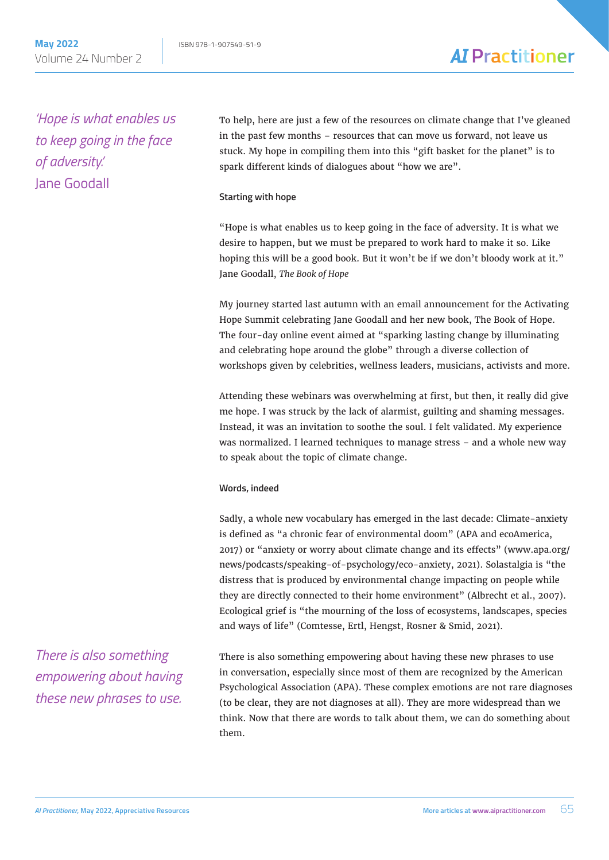*'Hope is what enables us to keep going in the face of adversity.'* Jane Goodall

To help, here are just a few of the resources on climate change that I've gleaned in the past few months – resources that can move us forward, not leave us stuck. My hope in compiling them into this "gift basket for the planet" is to spark different kinds of dialogues about "how we are".

#### **Starting with hope**

"Hope is what enables us to keep going in the face of adversity. It is what we desire to happen, but we must be prepared to work hard to make it so. Like hoping this will be a good book. But it won't be if we don't bloody work at it." Jane Goodall, *The Book of Hope*

My journey started last autumn with an email announcement for the Activating Hope Summit celebrating Jane Goodall and her new book, The Book of Hope. The four-day online event aimed at "sparking lasting change by illuminating and celebrating hope around the globe" through a diverse collection of workshops given by celebrities, wellness leaders, musicians, activists and more.

Attending these webinars was overwhelming at first, but then, it really did give me hope. I was struck by the lack of alarmist, guilting and shaming messages. Instead, it was an invitation to soothe the soul. I felt validated. My experience was normalized. I learned techniques to manage stress – and a whole new way to speak about the topic of climate change.

#### **Words, indeed**

Sadly, a whole new vocabulary has emerged in the last decade: Climate-anxiety is defined as "a chronic fear of environmental doom" (APA and ecoAmerica, 2017) or "anxiety or worry about climate change and its effects" (www.apa.org/ news/podcasts/speaking-of-psychology/eco-anxiety, 2021). Solastalgia is "the distress that is produced by environmental change impacting on people while they are directly connected to their home environment" (Albrecht et al., 2007). Ecological grief is "the mourning of the loss of ecosystems, landscapes, species and ways of life" (Comtesse, Ertl, Hengst, Rosner & Smid, 2021).

*There is also something empowering about having these new phrases to use.*

There is also something empowering about having these new phrases to use in conversation, especially since most of them are recognized by the American Psychological Association (APA). These complex emotions are not rare diagnoses (to be clear, they are not diagnoses at all). They are more widespread than we think. Now that there are words to talk about them, we can do something about them.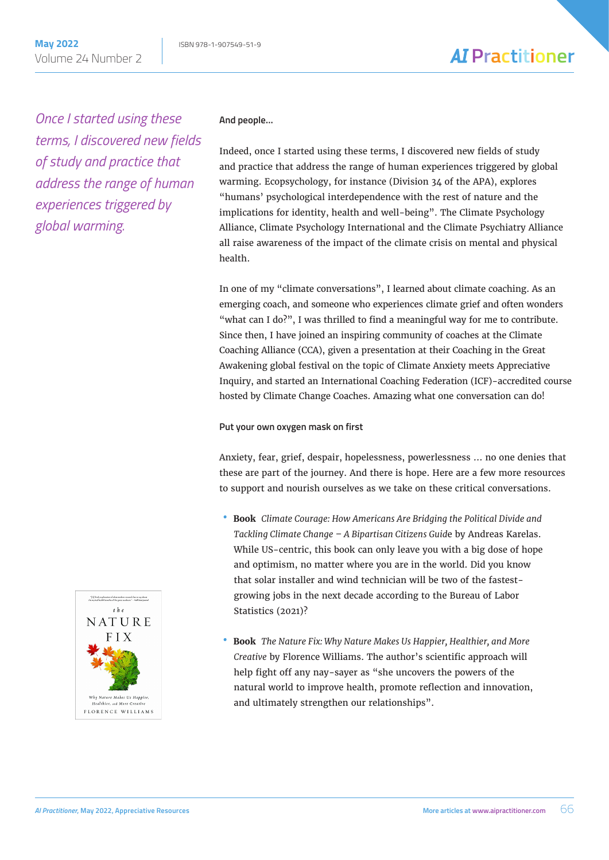### **AI** Practitioner

*Once I started using these terms, I discovered new fields of study and practice that address the range of human experiences triggered by global warming.*

#### **And people…**

Indeed, once I started using these terms, I discovered new fields of study and practice that address the range of human experiences triggered by global warming. Ecopsychology, for instance (Division 34 of the APA), explores "humans' psychological interdependence with the rest of nature and the implications for identity, health and well-being". The Climate Psychology Alliance, Climate Psychology International and the Climate Psychiatry Alliance all raise awareness of the impact of the climate crisis on mental and physical health.

In one of my "climate conversations", I learned about climate coaching. As an emerging coach, and someone who experiences climate grief and often wonders "what can I do?", I was thrilled to find a meaningful way for me to contribute. Since then, I have joined an inspiring community of coaches at the Climate Coaching Alliance (CCA), given a presentation at their Coaching in the Great Awakening global festival on the topic of Climate Anxiety meets Appreciative Inquiry, and started an International Coaching Federation (ICF)-accredited course hosted by Climate Change Coaches. Amazing what one conversation can do!

#### **Put your own oxygen mask on first**

Anxiety, fear, grief, despair, hopelessness, powerlessness … no one denies that these are part of the journey. And there is hope. Here are a few more resources to support and nourish ourselves as we take on these critical conversations.

- • **Book** *Climate Courage: How Americans Are Bridging the Political Divide and Tackling Climate Change – A Bipartisan Citizens Guid*e by Andreas Karelas. While US-centric, this book can only leave you with a big dose of hope and optimism, no matter where you are in the world. Did you know that solar installer and wind technician will be two of the fastestgrowing jobs in the next decade according to the Bureau of Labor Statistics (2021)?
- • **Book** *The Nature Fix: Why Nature Makes Us Happier, Healthier, and More Creative* by Florence Williams. The author's scientific approach will help fight off any nay-sayer as "she uncovers the powers of the natural world to improve health, promote reflection and innovation, and ultimately strengthen our relationships".